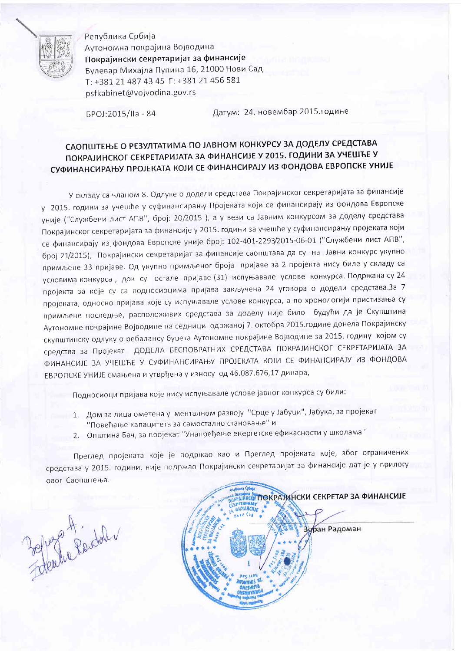

Република Србија Аутономна покрајина Војводина Покрајински секретаријат за финансије Булевар Михајла Пупина 16, 21000 Нови Сад T: +381 21 487 43 45 F: +381 21 456 581 psfkabinet@vojvodina.gov.rs

БРОЈ:2015/IIa - 84

Датум: 24. новембар 2015. године

## САОПШТЕЊЕ О РЕЗУЛТАТИМА ПО ЈАВНОМ КОНКУРСУ ЗА ДОДЕЛУ СРЕДСТАВА ПОКРАЈИНСКОГ СЕКРЕТАРИЈАТА ЗА ФИНАНСИЈЕ У 2015. ГОДИНИ ЗА УЧЕШЋЕ У СУФИНАНСИРАЊУ ПРОЈЕКАТА КОЈИ СЕ ФИНАНСИРАЈУ ИЗ ФОНДОВА ЕВРОПСКЕ УНИЈЕ

У складу са чланом 8. Одлуке о додели средстава Покрајинског секретаријата за финансије у 2015. години за учешће у суфинансирању Пројеката који се финансирају из фондова Европске уније ("Службени лист АПВ", број: 20/2015 ), а у вези са Јавним конкурсом за доделу средстава Покрајинског секретаријата за финансије у 2015. години за учешће у суфинансирању пројеката који се финансирају из фондова Европске уније број: 102-401-2293/2015-06-01 ("Службени лист АПВ", број 21/2015), Покрајински секретаријат за финансије саопштава да су на Јавни конкурс укупно примљене 33 пријаве. Од укупно примљеног броја пријаве за 2 пројекта нису биле у складу са условима конкурса, док су остале пријаве (31) испуњавале услове конкурса. Подржана су 24 пројекта за које су са подносиоцима пријава закључена 24 уговора о додели средстава.За 7 пројеката, односно пријава које су испуњавале услове конкурса, а по хронологији пристизања су примљене последње, расположивих средстава за доделу није било будући да је Скупштина Аутономне покрајине Војводине на седници одржаној 7. октобра 2015.године донела Покрајинску скупштинску одлуку о ребалансу буџета Аутономне покрајине Војводине за 2015. годину којом су средства за Пројекат ДОДЕЛА БЕСПОВРАТНИХ СРЕДСТАВА ПОКРАЈИНСКОГ СЕКРЕТАРИЈАТА ЗА ФИНАНСИЈЕ ЗА УЧЕШЋЕ У СУФИНАНСИРАЊУ ПРОЈЕКАТА КОЈИ СЕ ФИНАНСИРАЈУ ИЗ ФОНДОВА ЕВРОПСКЕ УНИЈЕ смањена и утврђена у износу од 46.087.676,17 динара,

Подносиоци пријава које нису испуњавале услове јавног конкурса су били:

- 1. Дом за лица ометена у менталном развоју "Срце у Јабуци", Јабука, за пројекат "Повећање капацитета за самостално становање" и
- 2. Општина Бач, за пројекат "Унапређење енергетске ефикасности у школама"

Преглед пројеката које је подржао као и Преглед пројеката које, због ограничених средстава у 2015. години, није подржао Покрајински секретаријат за финансије дат је у прилогу овог Саопштења.

Zepoza Findal

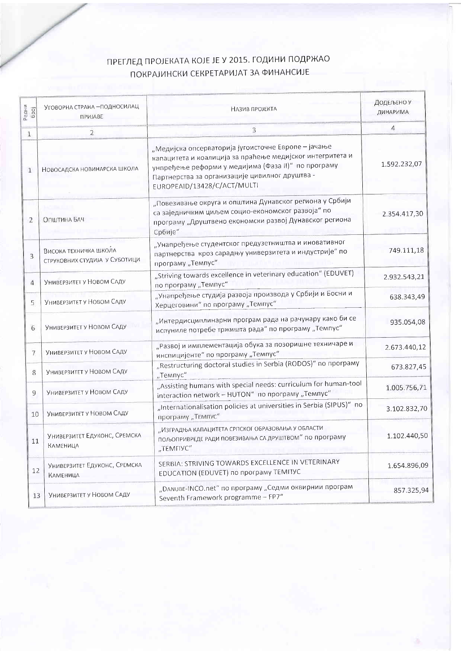## ПРЕГЛЕД ПРОЈЕКАТА КОЈЕ ЈЕ У 2015. ГОДИНИ ПОДРЖАО ПОКРАЈИНСКИ СЕКРЕТАРИЈАТ ЗА ФИНАНСИЈЕ

| Редни<br>Gpoj  | УГОВОРНА СТРАНА - ПОДНОСИЛАЦ<br>ПРИЈАВЕ                | НАЗИВ ПРОЈЕКТА                                                                                                                                                                                                                                            | ДОДЕЉЕНО У<br>ДИНАРИМА |
|----------------|--------------------------------------------------------|-----------------------------------------------------------------------------------------------------------------------------------------------------------------------------------------------------------------------------------------------------------|------------------------|
| $\mathbf{1}$   | $\overline{2}$                                         | $\overline{\mathbf{3}}$                                                                                                                                                                                                                                   | 4                      |
| $\mathbf{1}$   | НОВОСАДСКА НОВИНАРСКА ШКОЛА                            | "Медијска опсерваторија југоисточне Европе -- јачање<br>капацитета и коалиција за праћење медијског интегритета и<br>унпређење реформи у медијима (Фаза II)" по програму<br>Партнерства за организације цивилног друштва -<br>EUROPEAID/13428/C/ACT/MULTI | 1.592.232,07           |
| 2              | Општина Бач                                            | "Повезивање округа и општина Дунавског региона у Србији<br>са заједничким циљем социо-економског развоја" по<br>програму "Друштвено економски развој Дунавског региона<br>Србије"                                                                         | 2.354.417,30           |
| 3              | Висока техничка школа<br>СТРУКОВНИХ СТУДИЈА У СУБОТИЦИ | "Унапређење студентског предузетништва и иновативног<br>партнерства кроз сарадњу универзитета и индустрије" по<br>програму "Темпус"                                                                                                                       | 749.111,18             |
| 4              | УНИВЕРЗИТЕТ У НОВОМ САДУ                               | "Striving towards excellence in veterinary education" (EDUVET)<br>по програму "Темпус"                                                                                                                                                                    | 2.932.543,21           |
| 5              | УНИВЕРЗИТЕТ У НОВОМ САДУ                               | "Унапређење студија развоја производа у Србији и Босни и<br>Херцеговини" по програму "Темпус"                                                                                                                                                             | 638.343,49             |
| $\sqrt{6}$     | УНИВЕРЗИТЕТ У НОВОМ СЛДУ                               | "Интердисциплинарни програм рада на рачунару како би се<br>испуниле потребе тржишта рада" по програму "Темпус"                                                                                                                                            | 935.054,08             |
| 7              | Универзитет у Новом Саду                               | "Развој и имплементација обука за позоришне техничаре и<br>инспицијенте" по програму "Темпус"                                                                                                                                                             | 2.673.440,12           |
| 8              | УНИВЕРЗИТЕТ У НОВОМ САДУ                               | "Restructuring doctoral studies in Serbia (RODOS)" по програму<br>"Темпус"                                                                                                                                                                                | 673.827,45             |
| $\overline{9}$ | УНИВЕРЗИТЕТ У НОВОМ САДУ                               | "Assisting humans with special needs: curriculum for human-tool<br>interaction network - HUTON" по програму "Темпус"                                                                                                                                      | 1.005.756,71           |
| 10             | Универзитет у Новом Саду                               | "Internationalisation policies at universities in Serbia (SIPUS)" no<br>програму "Темпус"                                                                                                                                                                 | 3.102.832,70           |
| 11             | УНИВЕРЗИТЕТ ЕДУКОНС, СРЕМСКА<br><b>КАМЕНИЦА</b>        | "ИЗГРАДЊА КАПАЦИТЕТА СРПСКОГ ОБРАЗОВАЊА У ОБЛАСТИ<br>пољопривреде ради повезивања са друштвом" по програму<br>"TEMNYC"                                                                                                                                    | 1.102.440,50           |
| 12             | УНИВЕРЗИТЕТ ЕДУКОНС, СРЕМСКА<br><b>КАМЕНИЦА</b>        | SERBIA: STRIVING TOWARDS EXCELLENCE IN VETERINARY<br>EDUCATION (EDUVET) по програму ТЕМПУС                                                                                                                                                                | 1.654.896,09           |
| 13             | УНИВЕРЗИТЕТ У НОВОМ САДУ                               | "DANUBE-INCO.net" по програму "Седми оквирнии програм<br>Seventh Framework programme - FP7"                                                                                                                                                               | 857.325,94             |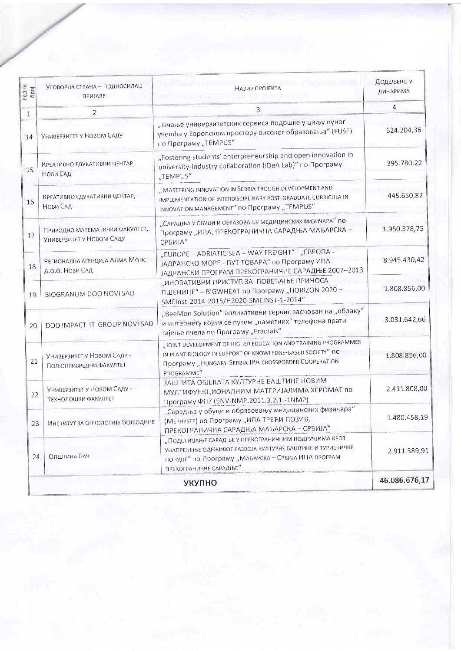| Редни<br>6poj | Уговорна страна - подносилац<br>ПРИЈАВЕ                    | НАЗИВ ПРОЈЕКТА                                                                                                                                                                                     | Додељено у<br>ДИНАРИМА |
|---------------|------------------------------------------------------------|----------------------------------------------------------------------------------------------------------------------------------------------------------------------------------------------------|------------------------|
| $\mathbf{1}$  | 2                                                          | 3                                                                                                                                                                                                  | 4                      |
| 14            | УНИВЕРЗИТЕТ У НОВОМ САДУ                                   | "Јачање универзитетских сервиса подршке у циљу пуног<br>учешћа у Европском простору високог образовања" (FUSE)<br>по Програму "TEMPUS"                                                             | 624.204,36             |
| 15            | КРЕАТИВНО ЕДУКАТИВНИ ЦЕНТАР,<br>Нови САД                   | "Fostering students' enterpreneurship and open innovation in<br>university-industry collaboration (iDeA Lab)" по Програму<br>"TEMPUS"                                                              | 395.780,22             |
| 16            | КРЕАТИВНО ЕДУКАТИВНИ ЦЕНТАР,<br>Нови САД                   | "MASTERING INNOVATION IN SERBIA TROUGH DEVELOPMENT AND<br>IMPLEMENTATION OF INTERDISCIPLINARY POST-GRADUATE CURRICULA IN<br>INNOVATION MANAGEMENT" по Програму "TEMPUS"                            | 445.650,82             |
| 17            | ПРИРОДНО МАТЕМАТИЧКИ ФАКУЛТЕТ,<br>УНИВЕРЗИТЕТ У НОВОМ СЛДУ | "Сарадња у обуци и образовању медицинских физичара" по<br>Програму "ИПА, ПРЕКОГРАНИЧНА САРАДЊА МАЂАРСКА -<br>СРБИЈА"                                                                               | 1.950.378,75           |
| 18            | РЕГИОНАЛНА АГЕНЦИЈА АЛМА МОНС<br>д.о.о. Нови Сад           | "EUROPE – ADRIATIC SEA – WAY FREIGHT" - "EBPONA -<br>ЈАДРАНСКО МОРЕ - ПУТ ТОВАРА" по Програму ИПА<br>ЈАДРАНСКИ ПРОГРАМ ПРЕКОГРАНИЧНЕ САРАДЊЕ 2007-2013                                             | 8.945.430,42           |
| 19            | <b>BIOGRANUM DOO NOVI SAD</b>                              | "ИНОВАТИВНИ ПРИСТУП ЗА ПОВЕЋАЊЕ ПРИНОСА<br>ПШЕНИЦЕ" - BIGWHEAT по Програму "HORIZON 2020 -<br>SMEInst-2014-2015/H2020-SMEINST-1-2014"                                                              | 1.808.856,00           |
| 20            | DOO IMPACT IT GROUP NOVI SAD                               | "BeeMon Solution" апликативни сервис заснован на "облаку"<br>и интернету којим се путем "паметних" телефона прати<br>гајење пчела по Програму "Fractals"                                           | 3.031.642,66           |
| 21            | Универзитет у Новом Саду -<br>Пољопривредни факултет       | "JOINT DEVELOPMENT OF HIGHER EDUCATION AND TRAINING PROGRAMMES<br>IN PLANT BIOLOGY IN SUPPORT OF KNOWLEDGE-BASED SOCIETY" NO<br>Програму "HUNGARY-SERBIA IPA CROSSBORDER COOPERATION<br>PROGRAMME" | 1.808.856,00           |
| 22            | Универзитет у Новом Саду -<br><b>ТЕХНОЛОШКИ ФАКУЛТЕТ</b>   | ЗАШТИТА ОБЈЕКАТА КУЛТУРНЕ БАШТИНЕ НОВИМ<br>МУЛТИФУНКЦИОНАЛНИМ МАТЕРИЈАЛИМА ХЕРОМАТ по<br>Програму ФП7 (ENV-NMP.2011.3.2.1.-1NMP)                                                                   | 2.411.808,00           |
| 23            | Институт за онкологију Војводине                           | "Сарадња у обуци и образовању медицинских физичара"<br>(Мернуѕте) по Програму "ИПА ТРЕЋИ ПОЗИВ,<br>ПРЕКОГРАНИЧНА САРАДЊА МАЂАРСКА - СРБИЈА"                                                        | 1.480.458.19           |
| 24            | Општина БАЧ                                                | "ПОДСТИЦАЊЕ САРАДЊЕ У ПРЕКОГРАНИЧНИМ ПОДРУЧЈИМА КРОЗ<br>УНАПРЕЂЕЊЕ ОДРЖИВОГ РАЗВОЈА КУЛТУРНЕ БАШТИНЕ И ТУРИСТИЧКЕ<br>понуде" по Програму "Млълрска - Србија ИПА програм<br>ПРЕКОГРАНИЧНЕ САРАДЊЕ"  | 2.911.389,91           |
|               |                                                            | <b>УКУПНО</b>                                                                                                                                                                                      | 46.086.676,17          |